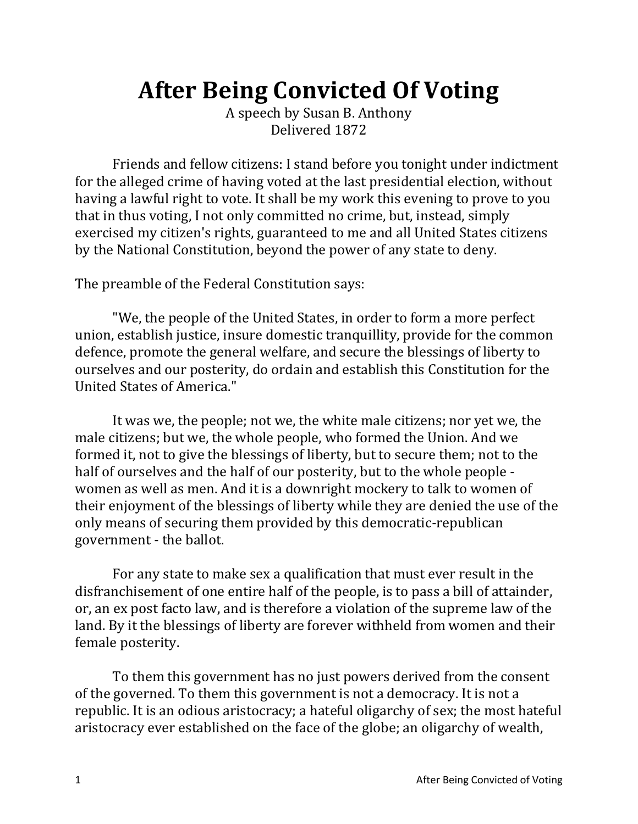## **After Being Convicted Of Voting**

A speech by Susan B. Anthony Delivered 1872

Friends and fellow citizens: I stand before you tonight under indictment for the alleged crime of having voted at the last presidential election, without having a lawful right to vote. It shall be my work this evening to prove to you that in thus voting, I not only committed no crime, but, instead, simply exercised my citizen's rights, guaranteed to me and all United States citizens by the National Constitution, beyond the power of any state to deny.

The preamble of the Federal Constitution says:

"We, the people of the United States, in order to form a more perfect union, establish justice, insure domestic tranquillity, provide for the common defence, promote the general welfare, and secure the blessings of liberty to ourselves and our posterity, do ordain and establish this Constitution for the United States of America."

It was we, the people; not we, the white male citizens; nor yet we, the male citizens; but we, the whole people, who formed the Union. And we formed it, not to give the blessings of liberty, but to secure them; not to the half of ourselves and the half of our posterity, but to the whole people women as well as men. And it is a downright mockery to talk to women of their enjoyment of the blessings of liberty while they are denied the use of the only means of securing them provided by this democratic-republican government - the ballot.

For any state to make sex a qualification that must ever result in the disfranchisement of one entire half of the people, is to pass a bill of attainder, or, an ex post facto law, and is therefore a violation of the supreme law of the land. By it the blessings of liberty are forever withheld from women and their female posterity.

To them this government has no just powers derived from the consent of the governed. To them this government is not a democracy. It is not a republic. It is an odious aristocracy; a hateful oligarchy of sex; the most hateful aristocracy ever established on the face of the globe; an oligarchy of wealth,